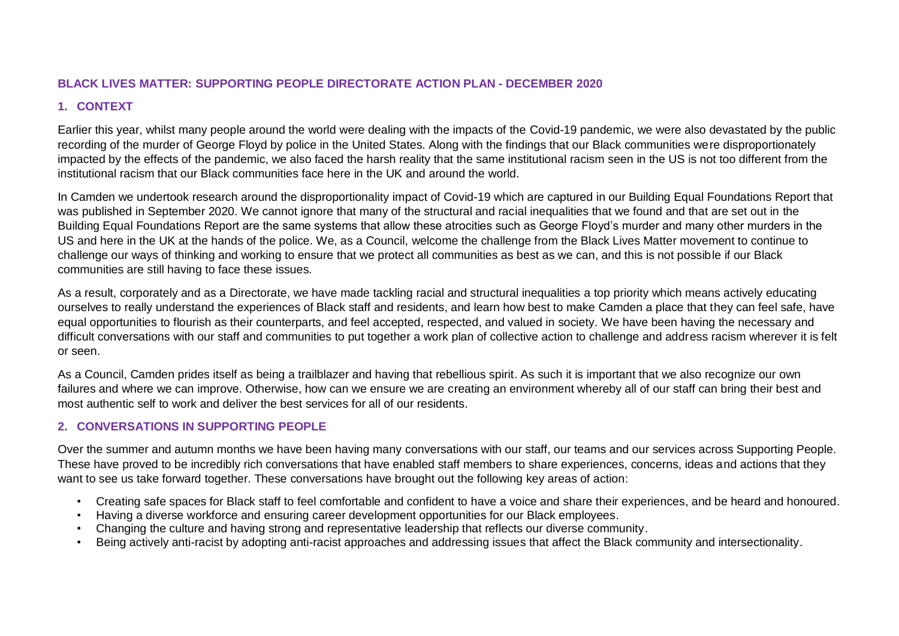#### **BLACK LIVES MATTER: SUPPORTING PEOPLE DIRECTORATE ACTION PLAN - DECEMBER 2020**

# **1. CONTEXT**

Earlier this year, whilst many people around the world were dealing with the impacts of the Covid-19 pandemic, we were also devastated by the public recording of the murder of George Floyd by police in the United States. Along with the findings that our Black communities were disproportionately impacted by the effects of the pandemic, we also faced the harsh reality that the same institutional racism seen in the US is not too different from the institutional racism that our Black communities face here in the UK and around the world.

In Camden we undertook research around the disproportionality impact of Covid-19 which are captured in our Building Equal Foundations Report that was published in September 2020. We cannot ignore that many of the structural and racial inequalities that we found and that are set out in the Building Equal Foundations Report are the same systems that allow these atrocities such as George Floyd's murder and many other murders in the US and here in the UK at the hands of the police. We, as a Council, welcome the challenge from the Black Lives Matter movement to continue to challenge our ways of thinking and working to ensure that we protect all communities as best as we can, and this is not possible if our Black communities are still having to face these issues.

As a result, corporately and as a Directorate, we have made tackling racial and structural inequalities a top priority which means actively educating ourselves to really understand the experiences of Black staff and residents, and learn how best to make Camden a place that they can feel safe, have equal opportunities to flourish as their counterparts, and feel accepted, respected, and valued in society. We have been having the necessary and difficult conversations with our staff and communities to put together a work plan of collective action to challenge and address racism wherever it is felt or seen.

As a Council, Camden prides itself as being a trailblazer and having that rebellious spirit. As such it is important that we also recognize our own failures and where we can improve. Otherwise, how can we ensure we are creating an environment whereby all of our staff can bring their best and most authentic self to work and deliver the best services for all of our residents.

## **2. CONVERSATIONS IN SUPPORTING PEOPLE**

Over the summer and autumn months we have been having many conversations with our staff, our teams and our services across Supporting People. These have proved to be incredibly rich conversations that have enabled staff members to share experiences, concerns, ideas and actions that they want to see us take forward together. These conversations have brought out the following key areas of action:

- Creating safe spaces for Black staff to feel comfortable and confident to have a voice and share their experiences, and be heard and honoured.
- Having a diverse workforce and ensuring career development opportunities for our Black employees.
- Changing the culture and having strong and representative leadership that reflects our diverse community.
- Being actively anti-racist by adopting anti-racist approaches and addressing issues that affect the Black community and intersectionality.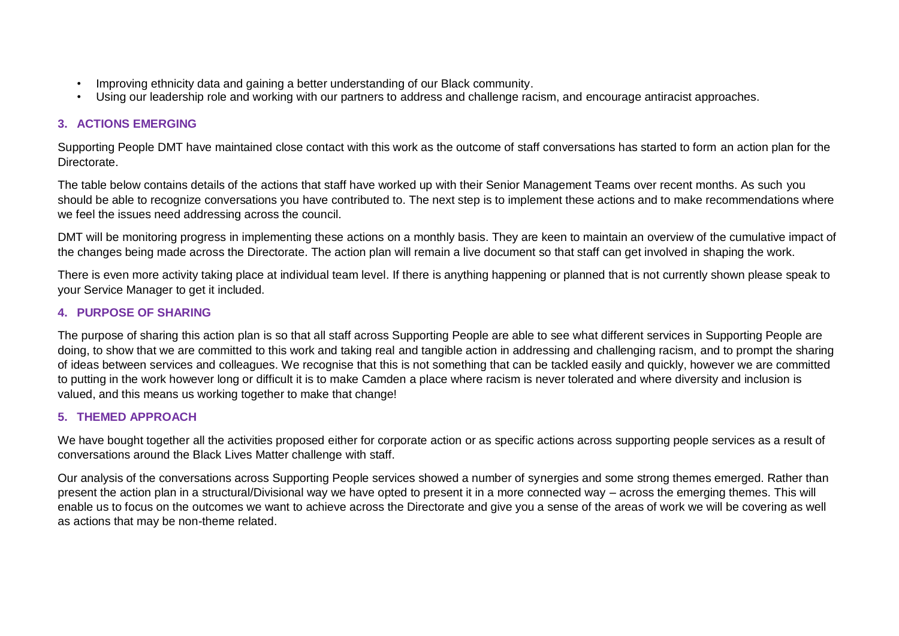- Improving ethnicity data and gaining a better understanding of our Black community.
- Using our leadership role and working with our partners to address and challenge racism, and encourage antiracist approaches.

## **3. ACTIONS EMERGING**

Supporting People DMT have maintained close contact with this work as the outcome of staff conversations has started to form an action plan for the Directorate.

The table below contains details of the actions that staff have worked up with their Senior Management Teams over recent months. As such you should be able to recognize conversations you have contributed to. The next step is to implement these actions and to make recommendations where we feel the issues need addressing across the council.

DMT will be monitoring progress in implementing these actions on a monthly basis. They are keen to maintain an overview of the cumulative impact of the changes being made across the Directorate. The action plan will remain a live document so that staff can get involved in shaping the work.

There is even more activity taking place at individual team level. If there is anything happening or planned that is not currently shown please speak to your Service Manager to get it included.

## **4. PURPOSE OF SHARING**

The purpose of sharing this action plan is so that all staff across Supporting People are able to see what different services in Supporting People are doing, to show that we are committed to this work and taking real and tangible action in addressing and challenging racism, and to prompt the sharing of ideas between services and colleagues. We recognise that this is not something that can be tackled easily and quickly, however we are committed to putting in the work however long or difficult it is to make Camden a place where racism is never tolerated and where diversity and inclusion is valued, and this means us working together to make that change!

## **5. THEMED APPROACH**

We have bought together all the activities proposed either for corporate action or as specific actions across supporting people services as a result of conversations around the Black Lives Matter challenge with staff.

Our analysis of the conversations across Supporting People services showed a number of synergies and some strong themes emerged. Rather than present the action plan in a structural/Divisional way we have opted to present it in a more connected way – across the emerging themes. This will enable us to focus on the outcomes we want to achieve across the Directorate and give you a sense of the areas of work we will be covering as well as actions that may be non-theme related.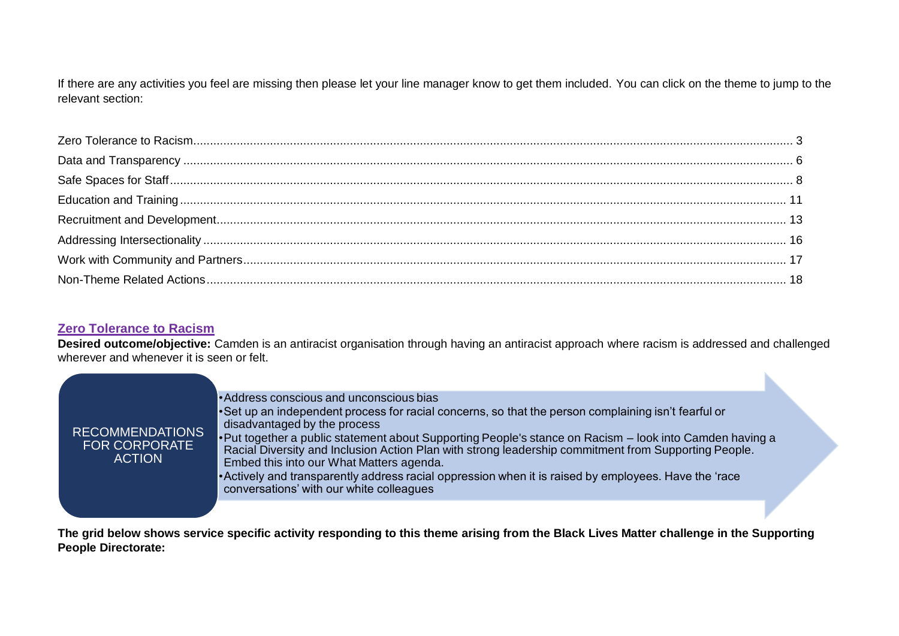If there are any activities you feel are missing then please let your line manager know to get them included. You can click on the theme to jump to the relevant section:

## <span id="page-2-0"></span>**Zero Tolerance to Racism**

**Desired outcome/objective:** Camden is an antiracist organisation through having an antiracist approach where racism is addressed and challenged wherever and whenever it is seen or felt.

| <b>RECOMMENDATIONS</b><br><b>FOR CORPORATE</b><br><b>ACTION</b> | •Address conscious and unconscious bias<br>•Set up an independent process for racial concerns, so that the person complaining isn't fearful or<br>disadvantaged by the process<br>•Put together a public statement about Supporting People's stance on Racism – look into Camden having a<br>Racial Diversity and Inclusion Action Plan with strong leadership commitment from Supporting People.<br>Embed this into our What Matters agenda.<br>• Actively and transparently address racial oppression when it is raised by employees. Have the 'race<br>conversations' with our white colleagues |
|-----------------------------------------------------------------|----------------------------------------------------------------------------------------------------------------------------------------------------------------------------------------------------------------------------------------------------------------------------------------------------------------------------------------------------------------------------------------------------------------------------------------------------------------------------------------------------------------------------------------------------------------------------------------------------|
|                                                                 |                                                                                                                                                                                                                                                                                                                                                                                                                                                                                                                                                                                                    |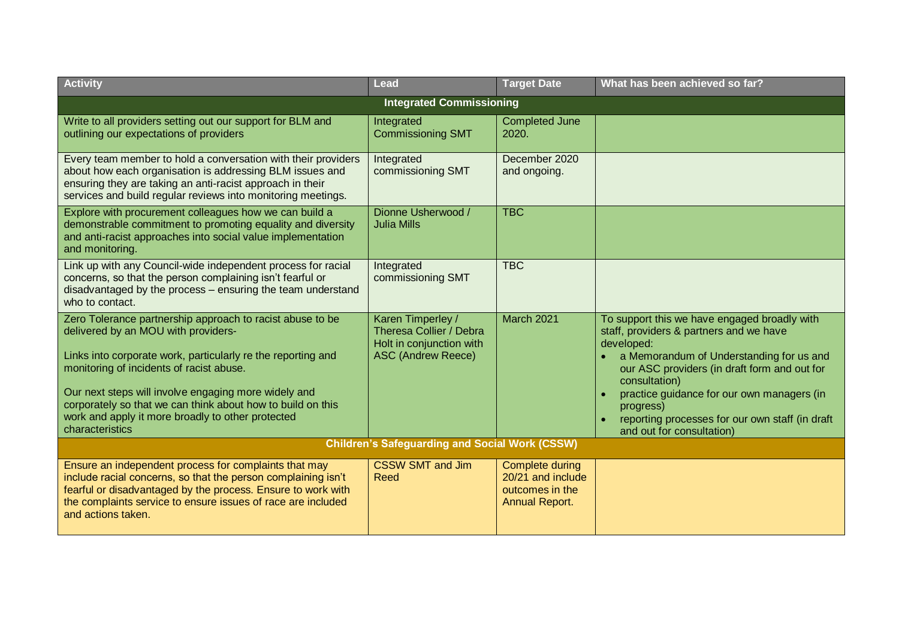| <b>Activity</b>                                                                                                                                                                                                                                                                                                                                                                                             | Lead                                                                                                  | <b>Target Date</b>                                                        | What has been achieved so far?                                                                                                                                                                                                                                                                                                                                |  |  |  |
|-------------------------------------------------------------------------------------------------------------------------------------------------------------------------------------------------------------------------------------------------------------------------------------------------------------------------------------------------------------------------------------------------------------|-------------------------------------------------------------------------------------------------------|---------------------------------------------------------------------------|---------------------------------------------------------------------------------------------------------------------------------------------------------------------------------------------------------------------------------------------------------------------------------------------------------------------------------------------------------------|--|--|--|
| <b>Integrated Commissioning</b>                                                                                                                                                                                                                                                                                                                                                                             |                                                                                                       |                                                                           |                                                                                                                                                                                                                                                                                                                                                               |  |  |  |
| Write to all providers setting out our support for BLM and<br>outlining our expectations of providers                                                                                                                                                                                                                                                                                                       | Integrated<br><b>Commissioning SMT</b>                                                                | <b>Completed June</b><br>2020.                                            |                                                                                                                                                                                                                                                                                                                                                               |  |  |  |
| Every team member to hold a conversation with their providers<br>about how each organisation is addressing BLM issues and<br>ensuring they are taking an anti-racist approach in their<br>services and build regular reviews into monitoring meetings.                                                                                                                                                      | Integrated<br>commissioning SMT                                                                       | December 2020<br>and ongoing.                                             |                                                                                                                                                                                                                                                                                                                                                               |  |  |  |
| Explore with procurement colleagues how we can build a<br>demonstrable commitment to promoting equality and diversity<br>and anti-racist approaches into social value implementation<br>and monitoring.                                                                                                                                                                                                     | Dionne Usherwood /<br><b>Julia Mills</b>                                                              | <b>TBC</b>                                                                |                                                                                                                                                                                                                                                                                                                                                               |  |  |  |
| Link up with any Council-wide independent process for racial<br>concerns, so that the person complaining isn't fearful or<br>disadvantaged by the process - ensuring the team understand<br>who to contact.                                                                                                                                                                                                 | Integrated<br>commissioning SMT                                                                       | <b>TBC</b>                                                                |                                                                                                                                                                                                                                                                                                                                                               |  |  |  |
| Zero Tolerance partnership approach to racist abuse to be<br>delivered by an MOU with providers-<br>Links into corporate work, particularly re the reporting and<br>monitoring of incidents of racist abuse.<br>Our next steps will involve engaging more widely and<br>corporately so that we can think about how to build on this<br>work and apply it more broadly to other protected<br>characteristics | Karen Timperley /<br>Theresa Collier / Debra<br>Holt in conjunction with<br><b>ASC (Andrew Reece)</b> | <b>March 2021</b>                                                         | To support this we have engaged broadly with<br>staff, providers & partners and we have<br>developed:<br>a Memorandum of Understanding for us and<br>our ASC providers (in draft form and out for<br>consultation)<br>practice guidance for our own managers (in<br>progress)<br>reporting processes for our own staff (in draft<br>and out for consultation) |  |  |  |
|                                                                                                                                                                                                                                                                                                                                                                                                             | <b>Children's Safeguarding and Social Work (CSSW)</b>                                                 |                                                                           |                                                                                                                                                                                                                                                                                                                                                               |  |  |  |
| Ensure an independent process for complaints that may<br>include racial concerns, so that the person complaining isn't<br>fearful or disadvantaged by the process. Ensure to work with<br>the complaints service to ensure issues of race are included<br>and actions taken.                                                                                                                                | <b>CSSW SMT and Jim</b><br>Reed                                                                       | Complete during<br>20/21 and include<br>outcomes in the<br>Annual Report. |                                                                                                                                                                                                                                                                                                                                                               |  |  |  |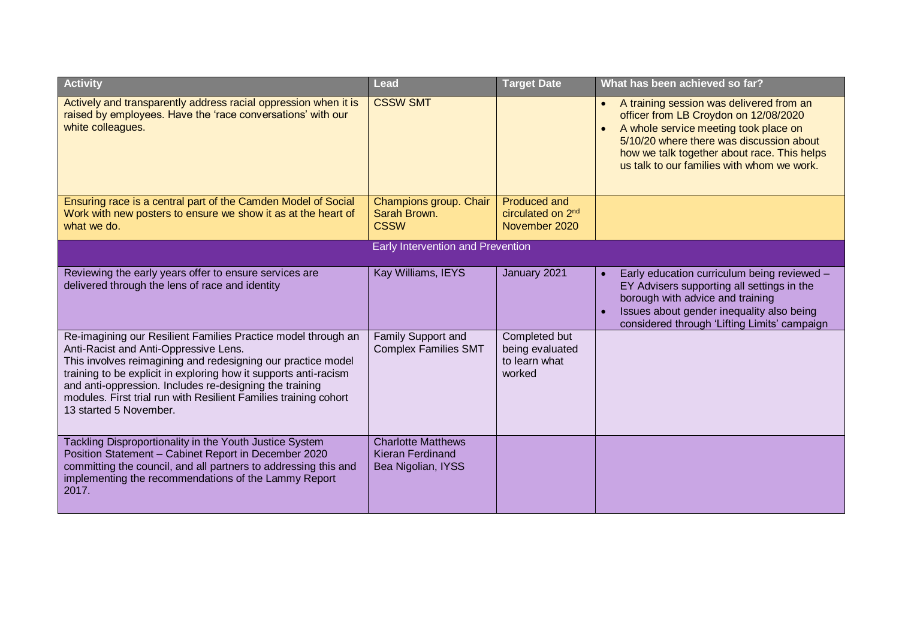| <b>Activity</b>                                                                                                                                                                                                                                                                                                                                                                                     | <b>Lead</b>                                                         | <b>Target Date</b>                                          | What has been achieved so far?                                                                                                                                                                                                                                                   |
|-----------------------------------------------------------------------------------------------------------------------------------------------------------------------------------------------------------------------------------------------------------------------------------------------------------------------------------------------------------------------------------------------------|---------------------------------------------------------------------|-------------------------------------------------------------|----------------------------------------------------------------------------------------------------------------------------------------------------------------------------------------------------------------------------------------------------------------------------------|
| Actively and transparently address racial oppression when it is<br>raised by employees. Have the 'race conversations' with our<br>white colleagues.                                                                                                                                                                                                                                                 | <b>CSSW SMT</b>                                                     |                                                             | A training session was delivered from an<br>$\bullet$<br>officer from LB Croydon on 12/08/2020<br>A whole service meeting took place on<br>5/10/20 where there was discussion about<br>how we talk together about race. This helps<br>us talk to our families with whom we work. |
| Ensuring race is a central part of the Camden Model of Social<br>Work with new posters to ensure we show it as at the heart of                                                                                                                                                                                                                                                                      | Champions group. Chair<br>Sarah Brown.                              | Produced and<br>circulated on 2 <sup>nd</sup>               |                                                                                                                                                                                                                                                                                  |
| what we do.                                                                                                                                                                                                                                                                                                                                                                                         | <b>CSSW</b>                                                         | November 2020                                               |                                                                                                                                                                                                                                                                                  |
|                                                                                                                                                                                                                                                                                                                                                                                                     | <b>Early Intervention and Prevention</b>                            |                                                             |                                                                                                                                                                                                                                                                                  |
| Reviewing the early years offer to ensure services are<br>delivered through the lens of race and identity                                                                                                                                                                                                                                                                                           | Kay Williams, IEYS                                                  | January 2021                                                | Early education curriculum being reviewed -<br>EY Advisers supporting all settings in the<br>borough with advice and training<br>Issues about gender inequality also being<br>considered through 'Lifting Limits' campaign                                                       |
| Re-imagining our Resilient Families Practice model through an<br>Anti-Racist and Anti-Oppressive Lens.<br>This involves reimagining and redesigning our practice model<br>training to be explicit in exploring how it supports anti-racism<br>and anti-oppression. Includes re-designing the training<br>modules. First trial run with Resilient Families training cohort<br>13 started 5 November. | Family Support and<br><b>Complex Families SMT</b>                   | Completed but<br>being evaluated<br>to learn what<br>worked |                                                                                                                                                                                                                                                                                  |
| Tackling Disproportionality in the Youth Justice System<br>Position Statement - Cabinet Report in December 2020<br>committing the council, and all partners to addressing this and<br>implementing the recommendations of the Lammy Report<br>2017.                                                                                                                                                 | <b>Charlotte Matthews</b><br>Kieran Ferdinand<br>Bea Nigolian, IYSS |                                                             |                                                                                                                                                                                                                                                                                  |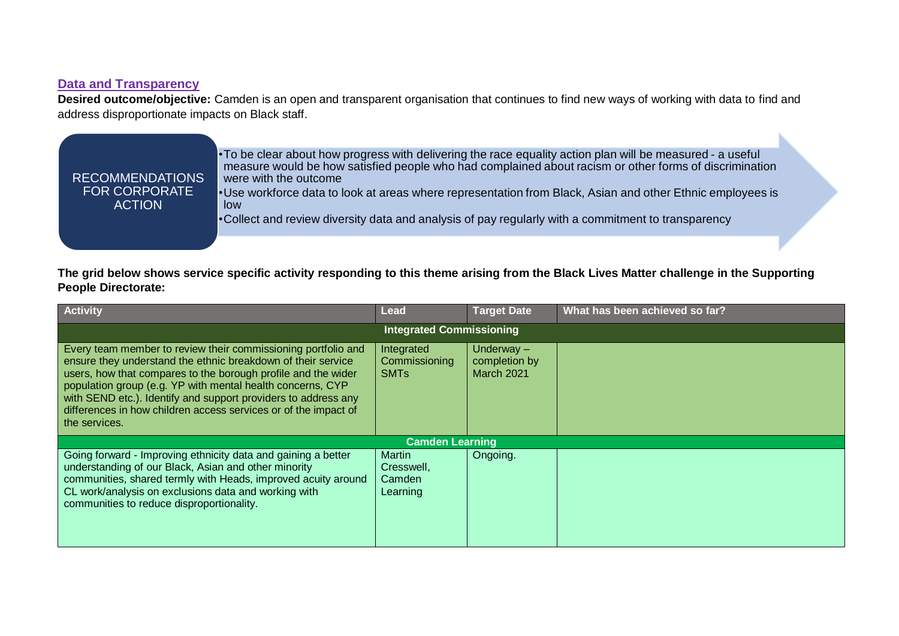# <span id="page-5-0"></span>**Data and Transparency**

**Desired outcome/objective:** Camden is an open and transparent organisation that continues to find new ways of working with data to find and address disproportionate impacts on Black staff.

ĥ.

| <b>RECOMMENDATIONS</b><br><b>FOR CORPORATE</b><br><b>ACTION</b> | •To be clear about how progress with delivering the race equality action plan will be measured - a useful<br>measure would be how satisfied people who had complained about racism or other forms of discrimination<br>were with the outcome<br>• Use workforce data to look at areas where representation from Black, Asian and other Ethnic employees is<br>low<br>•Collect and review diversity data and analysis of pay regularly with a commitment to transparency |  |
|-----------------------------------------------------------------|-------------------------------------------------------------------------------------------------------------------------------------------------------------------------------------------------------------------------------------------------------------------------------------------------------------------------------------------------------------------------------------------------------------------------------------------------------------------------|--|
|                                                                 |                                                                                                                                                                                                                                                                                                                                                                                                                                                                         |  |

| <b>Activity</b>                                                                                                                                                                                                                                                                                                                                                                                                    | Lead                                                  | <b>Target Date</b>                                 | What has been achieved so far? |  |  |
|--------------------------------------------------------------------------------------------------------------------------------------------------------------------------------------------------------------------------------------------------------------------------------------------------------------------------------------------------------------------------------------------------------------------|-------------------------------------------------------|----------------------------------------------------|--------------------------------|--|--|
| <b>Integrated Commissioning</b>                                                                                                                                                                                                                                                                                                                                                                                    |                                                       |                                                    |                                |  |  |
| Every team member to review their commissioning portfolio and<br>ensure they understand the ethnic breakdown of their service<br>users, how that compares to the borough profile and the wider<br>population group (e.g. YP with mental health concerns, CYP<br>with SEND etc.). Identify and support providers to address any<br>differences in how children access services or of the impact of<br>the services. | Integrated<br>Commissioning<br><b>SMT<sub>s</sub></b> | Underway $-$<br>completion by<br><b>March 2021</b> |                                |  |  |
|                                                                                                                                                                                                                                                                                                                                                                                                                    | <b>Camden Learning</b>                                |                                                    |                                |  |  |
| Going forward - Improving ethnicity data and gaining a better<br>understanding of our Black, Asian and other minority<br>communities, shared termly with Heads, improved acuity around<br>CL work/analysis on exclusions data and working with<br>communities to reduce disproportionality.                                                                                                                        | <b>Martin</b><br>Cresswell,<br>Camden<br>Learning     | Ongoing.                                           |                                |  |  |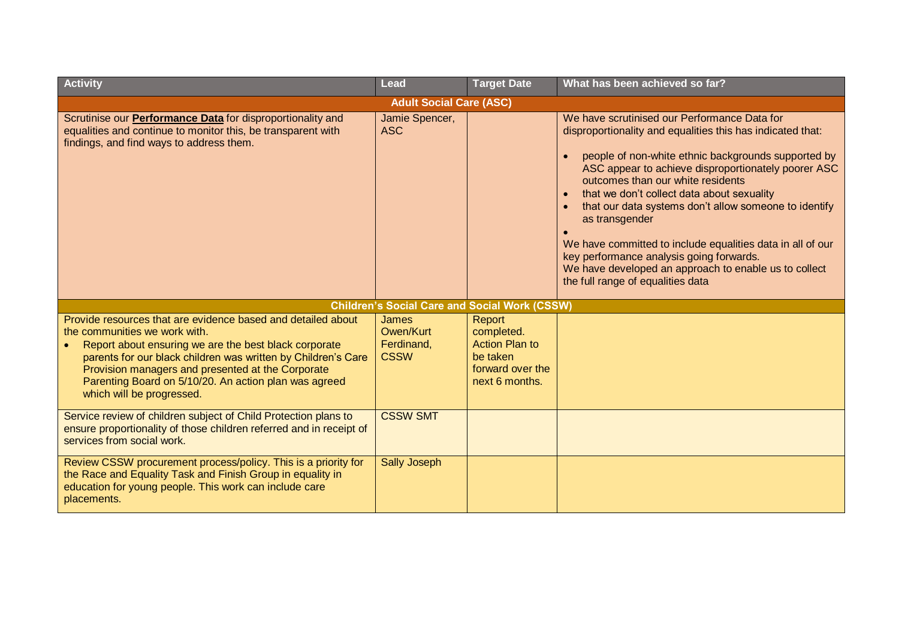| <b>Activity</b>                                                                                                                                                                                                                                                                                                                                                    | Lead                                                 | <b>Target Date</b>                                                                              | What has been achieved so far?                                                                                                                                                                                                                                                                                                                                                                                                                                                                                                                                                                 |
|--------------------------------------------------------------------------------------------------------------------------------------------------------------------------------------------------------------------------------------------------------------------------------------------------------------------------------------------------------------------|------------------------------------------------------|-------------------------------------------------------------------------------------------------|------------------------------------------------------------------------------------------------------------------------------------------------------------------------------------------------------------------------------------------------------------------------------------------------------------------------------------------------------------------------------------------------------------------------------------------------------------------------------------------------------------------------------------------------------------------------------------------------|
|                                                                                                                                                                                                                                                                                                                                                                    | <b>Adult Social Care (ASC)</b>                       |                                                                                                 |                                                                                                                                                                                                                                                                                                                                                                                                                                                                                                                                                                                                |
| Scrutinise our <b>Performance Data</b> for disproportionality and<br>equalities and continue to monitor this, be transparent with<br>findings, and find ways to address them.                                                                                                                                                                                      | Jamie Spencer,<br><b>ASC</b>                         |                                                                                                 | We have scrutinised our Performance Data for<br>disproportionality and equalities this has indicated that:<br>people of non-white ethnic backgrounds supported by<br>ASC appear to achieve disproportionately poorer ASC<br>outcomes than our white residents<br>that we don't collect data about sexuality<br>that our data systems don't allow someone to identify<br>as transgender<br>We have committed to include equalities data in all of our<br>key performance analysis going forwards.<br>We have developed an approach to enable us to collect<br>the full range of equalities data |
|                                                                                                                                                                                                                                                                                                                                                                    | <b>Children's Social Care and Social Work (CSSW)</b> |                                                                                                 |                                                                                                                                                                                                                                                                                                                                                                                                                                                                                                                                                                                                |
| Provide resources that are evidence based and detailed about<br>the communities we work with.<br>Report about ensuring we are the best black corporate<br>parents for our black children was written by Children's Care<br>Provision managers and presented at the Corporate<br>Parenting Board on 5/10/20. An action plan was agreed<br>which will be progressed. | James<br>Owen/Kurt<br>Ferdinand,<br><b>CSSW</b>      | Report<br>completed.<br><b>Action Plan to</b><br>be taken<br>forward over the<br>next 6 months. |                                                                                                                                                                                                                                                                                                                                                                                                                                                                                                                                                                                                |
| Service review of children subject of Child Protection plans to<br>ensure proportionality of those children referred and in receipt of<br>services from social work.                                                                                                                                                                                               | <b>CSSW SMT</b>                                      |                                                                                                 |                                                                                                                                                                                                                                                                                                                                                                                                                                                                                                                                                                                                |
| Review CSSW procurement process/policy. This is a priority for<br>the Race and Equality Task and Finish Group in equality in<br>education for young people. This work can include care<br>placements.                                                                                                                                                              | <b>Sally Joseph</b>                                  |                                                                                                 |                                                                                                                                                                                                                                                                                                                                                                                                                                                                                                                                                                                                |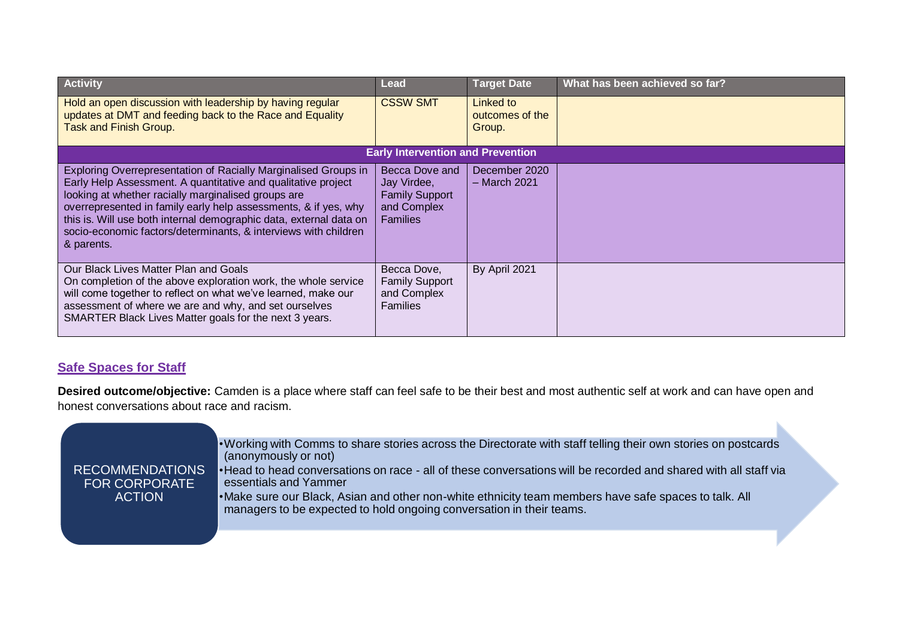| <b>Activity</b>                                                                                                                                                                                                                                                                                                                                                                                                   | Lead                                                                                     | <b>Target Date</b>                     | What has been achieved so far? |
|-------------------------------------------------------------------------------------------------------------------------------------------------------------------------------------------------------------------------------------------------------------------------------------------------------------------------------------------------------------------------------------------------------------------|------------------------------------------------------------------------------------------|----------------------------------------|--------------------------------|
| Hold an open discussion with leadership by having regular<br>updates at DMT and feeding back to the Race and Equality<br><b>Task and Finish Group.</b>                                                                                                                                                                                                                                                            | <b>CSSW SMT</b>                                                                          | Linked to<br>outcomes of the<br>Group. |                                |
|                                                                                                                                                                                                                                                                                                                                                                                                                   | <b>Early Intervention and Prevention</b>                                                 |                                        |                                |
| Exploring Overrepresentation of Racially Marginalised Groups in<br>Early Help Assessment. A quantitative and qualitative project<br>looking at whether racially marginalised groups are<br>overrepresented in family early help assessments, & if yes, why<br>this is. Will use both internal demographic data, external data on<br>socio-economic factors/determinants, & interviews with children<br>& parents. | Becca Dove and<br>Jay Virdee,<br><b>Family Support</b><br>and Complex<br><b>Families</b> | December 2020<br>$-$ March 2021        |                                |
| Our Black Lives Matter Plan and Goals<br>On completion of the above exploration work, the whole service<br>will come together to reflect on what we've learned, make our<br>assessment of where we are and why, and set ourselves<br>SMARTER Black Lives Matter goals for the next 3 years.                                                                                                                       | Becca Dove,<br><b>Family Support</b><br>and Complex<br><b>Families</b>                   | By April 2021                          |                                |

## <span id="page-7-0"></span>**Safe Spaces for Staff**

**Desired outcome/objective:** Camden is a place where staff can feel safe to be their best and most authentic self at work and can have open and honest conversations about race and racism.

| <b>RECOMMENDATIONS</b><br><b>FOR CORPORATE</b><br><b>ACTION</b> | • Working with Comms to share stories across the Directorate with staff telling their own stories on postcards<br>(anonymously or not)<br>• Head to head conversations on race - all of these conversations will be recorded and shared with all staff via<br>essentials and Yammer<br>• Make sure our Black, Asian and other non-white ethnicity team members have safe spaces to talk. All<br>managers to be expected to hold ongoing conversation in their teams. |
|-----------------------------------------------------------------|----------------------------------------------------------------------------------------------------------------------------------------------------------------------------------------------------------------------------------------------------------------------------------------------------------------------------------------------------------------------------------------------------------------------------------------------------------------------|
|                                                                 |                                                                                                                                                                                                                                                                                                                                                                                                                                                                      |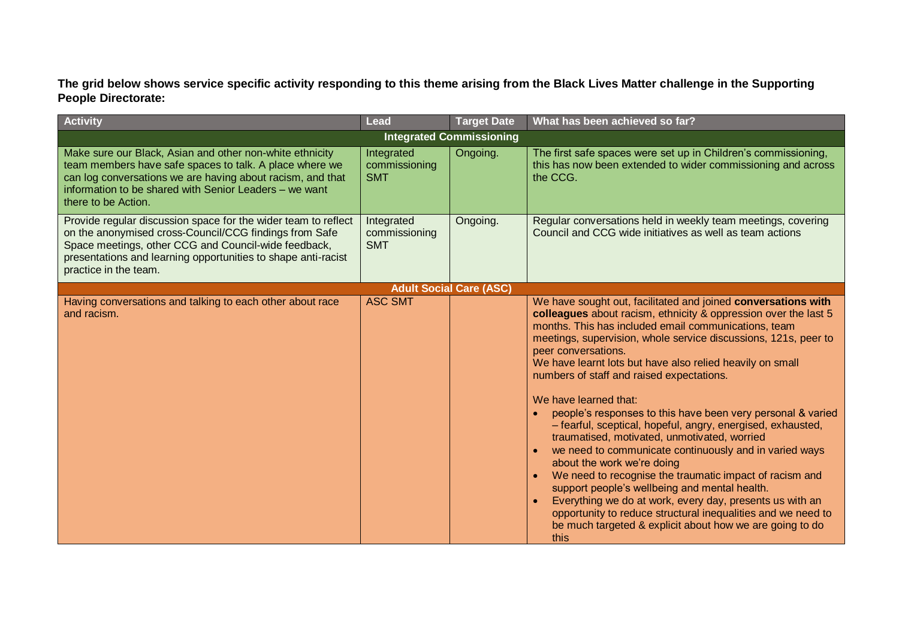| <b>Activity</b>                                                                                                                                                                                                                                                            | <b>Lead</b>                               | <b>Target Date</b>              | What has been achieved so far?                                                                                                                                                                                                                                                                                                                                                                                                                                                                                                                                                                                                                                                                                                                                                                                                                                                                                                                                                                          |
|----------------------------------------------------------------------------------------------------------------------------------------------------------------------------------------------------------------------------------------------------------------------------|-------------------------------------------|---------------------------------|---------------------------------------------------------------------------------------------------------------------------------------------------------------------------------------------------------------------------------------------------------------------------------------------------------------------------------------------------------------------------------------------------------------------------------------------------------------------------------------------------------------------------------------------------------------------------------------------------------------------------------------------------------------------------------------------------------------------------------------------------------------------------------------------------------------------------------------------------------------------------------------------------------------------------------------------------------------------------------------------------------|
|                                                                                                                                                                                                                                                                            |                                           | <b>Integrated Commissioning</b> |                                                                                                                                                                                                                                                                                                                                                                                                                                                                                                                                                                                                                                                                                                                                                                                                                                                                                                                                                                                                         |
| Make sure our Black, Asian and other non-white ethnicity<br>team members have safe spaces to talk. A place where we<br>can log conversations we are having about racism, and that<br>information to be shared with Senior Leaders - we want<br>there to be Action.         | Integrated<br>commissioning<br><b>SMT</b> | Ongoing.                        | The first safe spaces were set up in Children's commissioning,<br>this has now been extended to wider commissioning and across<br>the CCG.                                                                                                                                                                                                                                                                                                                                                                                                                                                                                                                                                                                                                                                                                                                                                                                                                                                              |
| Provide regular discussion space for the wider team to reflect<br>on the anonymised cross-Council/CCG findings from Safe<br>Space meetings, other CCG and Council-wide feedback,<br>presentations and learning opportunities to shape anti-racist<br>practice in the team. | Integrated<br>commissioning<br><b>SMT</b> | Ongoing.                        | Regular conversations held in weekly team meetings, covering<br>Council and CCG wide initiatives as well as team actions                                                                                                                                                                                                                                                                                                                                                                                                                                                                                                                                                                                                                                                                                                                                                                                                                                                                                |
|                                                                                                                                                                                                                                                                            |                                           | <b>Adult Social Care (ASC)</b>  |                                                                                                                                                                                                                                                                                                                                                                                                                                                                                                                                                                                                                                                                                                                                                                                                                                                                                                                                                                                                         |
| Having conversations and talking to each other about race<br>and racism.                                                                                                                                                                                                   | <b>ASC SMT</b>                            |                                 | We have sought out, facilitated and joined conversations with<br>colleagues about racism, ethnicity & oppression over the last 5<br>months. This has included email communications, team<br>meetings, supervision, whole service discussions, 121s, peer to<br>peer conversations.<br>We have learnt lots but have also relied heavily on small<br>numbers of staff and raised expectations.<br>We have learned that:<br>people's responses to this have been very personal & varied<br>- fearful, sceptical, hopeful, angry, energised, exhausted,<br>traumatised, motivated, unmotivated, worried<br>we need to communicate continuously and in varied ways<br>about the work we're doing<br>We need to recognise the traumatic impact of racism and<br>support people's wellbeing and mental health.<br>Everything we do at work, every day, presents us with an<br>opportunity to reduce structural inequalities and we need to<br>be much targeted & explicit about how we are going to do<br>this |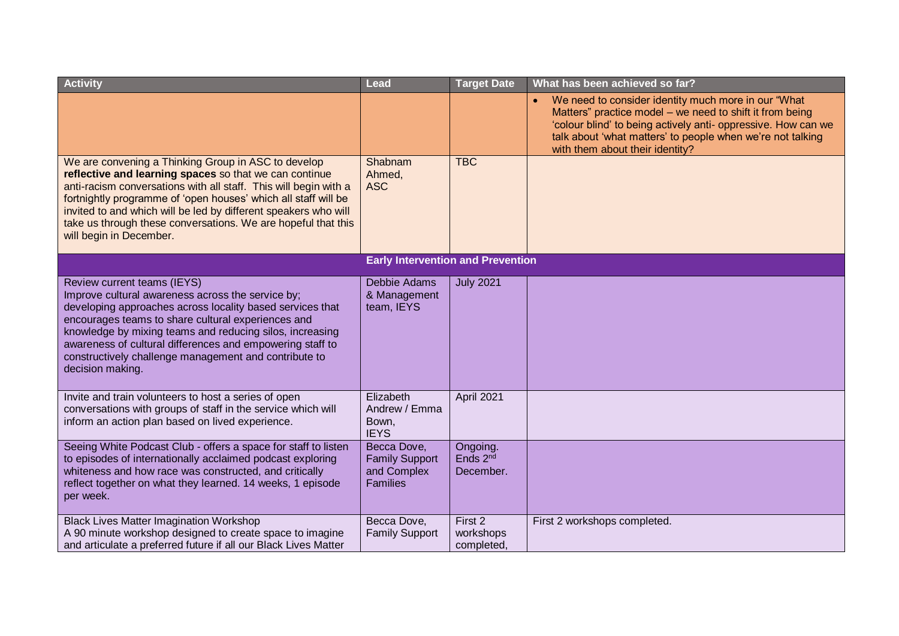| <b>Activity</b>                                                                                                                                                                                                                                                                                                                                                                                                    | Lead                                                                   | <b>Target Date</b>                     | What has been achieved so far?                                                                                                                                                                                                                                                    |
|--------------------------------------------------------------------------------------------------------------------------------------------------------------------------------------------------------------------------------------------------------------------------------------------------------------------------------------------------------------------------------------------------------------------|------------------------------------------------------------------------|----------------------------------------|-----------------------------------------------------------------------------------------------------------------------------------------------------------------------------------------------------------------------------------------------------------------------------------|
|                                                                                                                                                                                                                                                                                                                                                                                                                    |                                                                        |                                        | We need to consider identity much more in our "What<br>Matters" practice model – we need to shift it from being<br>'colour blind' to being actively anti- oppressive. How can we<br>talk about 'what matters' to people when we're not talking<br>with them about their identity? |
| We are convening a Thinking Group in ASC to develop<br>reflective and learning spaces so that we can continue<br>anti-racism conversations with all staff. This will begin with a<br>fortnightly programme of 'open houses' which all staff will be<br>invited to and which will be led by different speakers who will<br>take us through these conversations. We are hopeful that this<br>will begin in December. | Shabnam<br>Ahmed,<br><b>ASC</b>                                        | <b>TBC</b>                             |                                                                                                                                                                                                                                                                                   |
|                                                                                                                                                                                                                                                                                                                                                                                                                    | <b>Early Intervention and Prevention</b>                               |                                        |                                                                                                                                                                                                                                                                                   |
| Review current teams (IEYS)<br>Improve cultural awareness across the service by;<br>developing approaches across locality based services that<br>encourages teams to share cultural experiences and<br>knowledge by mixing teams and reducing silos, increasing<br>awareness of cultural differences and empowering staff to<br>constructively challenge management and contribute to<br>decision making.          | Debbie Adams<br>& Management<br>team, IEYS                             | <b>July 2021</b>                       |                                                                                                                                                                                                                                                                                   |
| Invite and train volunteers to host a series of open<br>conversations with groups of staff in the service which will<br>inform an action plan based on lived experience.                                                                                                                                                                                                                                           | Elizabeth<br>Andrew / Emma<br>Bown,<br><b>IEYS</b>                     | April 2021                             |                                                                                                                                                                                                                                                                                   |
| Seeing White Podcast Club - offers a space for staff to listen<br>to episodes of internationally acclaimed podcast exploring<br>whiteness and how race was constructed, and critically<br>reflect together on what they learned. 14 weeks, 1 episode<br>per week.                                                                                                                                                  | Becca Dove,<br><b>Family Support</b><br>and Complex<br><b>Families</b> | Ongoing.<br>Ends $2^{nd}$<br>December. |                                                                                                                                                                                                                                                                                   |
| <b>Black Lives Matter Imagination Workshop</b><br>A 90 minute workshop designed to create space to imagine<br>and articulate a preferred future if all our Black Lives Matter                                                                                                                                                                                                                                      | Becca Dove,<br><b>Family Support</b>                                   | First 2<br>workshops<br>completed,     | First 2 workshops completed.                                                                                                                                                                                                                                                      |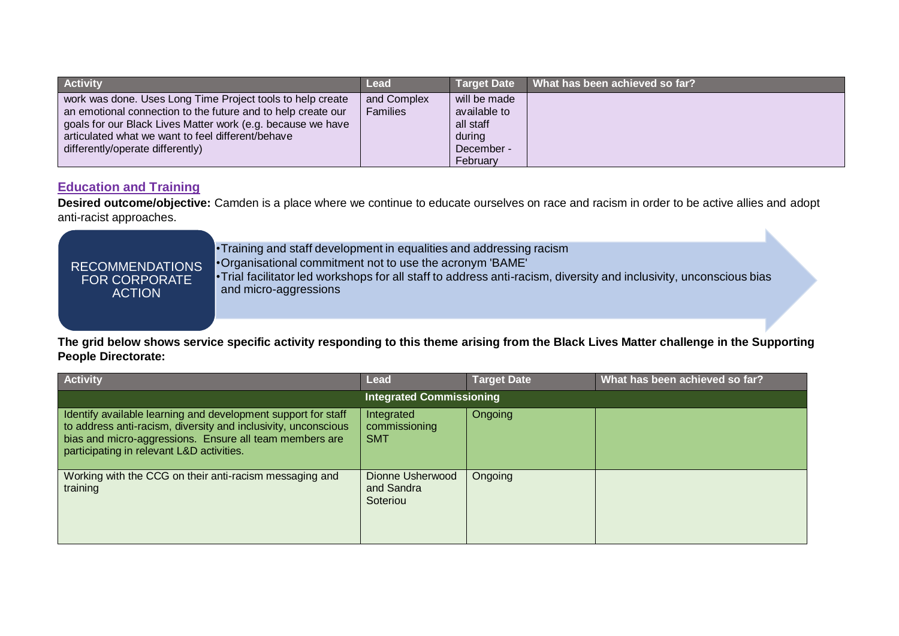| <b>Activity</b>                                                                                                                                                                                                                                                                    | Lead                           |                                                                               | Target Date What has been achieved so far? |
|------------------------------------------------------------------------------------------------------------------------------------------------------------------------------------------------------------------------------------------------------------------------------------|--------------------------------|-------------------------------------------------------------------------------|--------------------------------------------|
| work was done. Uses Long Time Project tools to help create<br>an emotional connection to the future and to help create our<br>goals for our Black Lives Matter work (e.g. because we have<br>articulated what we want to feel different/behave<br>differently/operate differently) | and Complex<br><b>Families</b> | will be made<br>available to<br>all staff<br>during<br>December -<br>February |                                            |

## <span id="page-10-0"></span>**Education and Training**

**Desired outcome/objective:** Camden is a place where we continue to educate ourselves on race and racism in order to be active allies and adopt anti-racist approaches.

> •Training and staff development in equalities and addressing racism •Organisational commitment not to use the acronym 'BAME' •Trial facilitator led workshops for all staff to address anti-racism, diversity and inclusivity, unconscious bias

FOR CORPORATE ACTION

RECOMMENDATIONS

and micro-aggressions

| <b>Activity</b>                                                                                                                                                                                                                         | <b>Lead</b>                                | <b>Target Date</b> | What has been achieved so far? |
|-----------------------------------------------------------------------------------------------------------------------------------------------------------------------------------------------------------------------------------------|--------------------------------------------|--------------------|--------------------------------|
|                                                                                                                                                                                                                                         | <b>Integrated Commissioning</b>            |                    |                                |
| Identify available learning and development support for staff<br>to address anti-racism, diversity and inclusivity, unconscious<br>bias and micro-aggressions. Ensure all team members are<br>participating in relevant L&D activities. | Integrated<br>commissioning<br><b>SMT</b>  | Ongoing            |                                |
| Working with the CCG on their anti-racism messaging and<br>training                                                                                                                                                                     | Dionne Usherwood<br>and Sandra<br>Soteriou | Ongoing            |                                |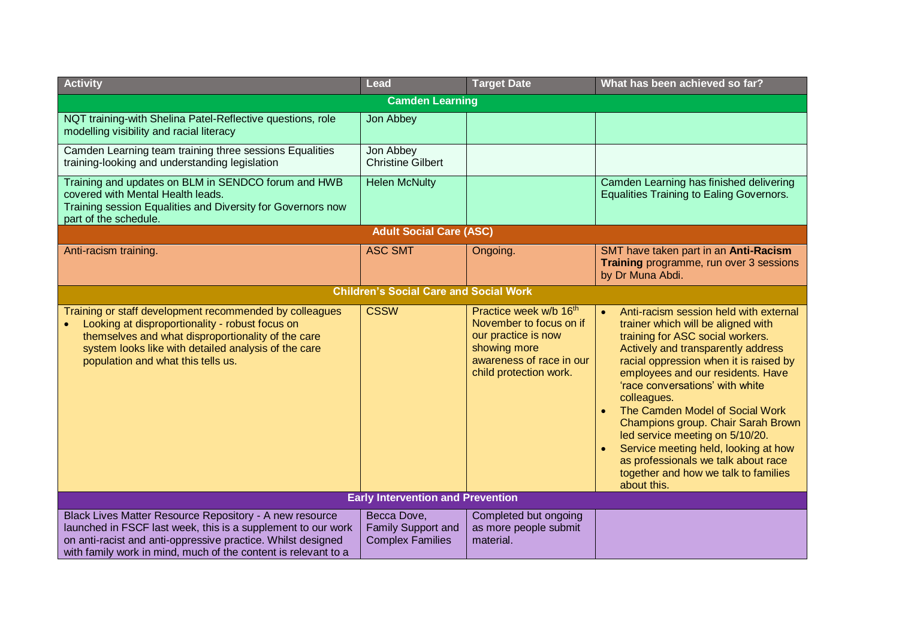| <b>Activity</b>                                                                                                                                                                                                                                                | <b>Lead</b>                                                  | <b>Target Date</b>                                                                                                                                         | What has been achieved so far?                                                                                                                                                                                                                                                                                                                                                                                                                                                                                                                         |  |  |
|----------------------------------------------------------------------------------------------------------------------------------------------------------------------------------------------------------------------------------------------------------------|--------------------------------------------------------------|------------------------------------------------------------------------------------------------------------------------------------------------------------|--------------------------------------------------------------------------------------------------------------------------------------------------------------------------------------------------------------------------------------------------------------------------------------------------------------------------------------------------------------------------------------------------------------------------------------------------------------------------------------------------------------------------------------------------------|--|--|
|                                                                                                                                                                                                                                                                | <b>Camden Learning</b>                                       |                                                                                                                                                            |                                                                                                                                                                                                                                                                                                                                                                                                                                                                                                                                                        |  |  |
| NQT training-with Shelina Patel-Reflective questions, role<br>modelling visibility and racial literacy                                                                                                                                                         | Jon Abbey                                                    |                                                                                                                                                            |                                                                                                                                                                                                                                                                                                                                                                                                                                                                                                                                                        |  |  |
| Camden Learning team training three sessions Equalities<br>training-looking and understanding legislation                                                                                                                                                      | Jon Abbey<br><b>Christine Gilbert</b>                        |                                                                                                                                                            |                                                                                                                                                                                                                                                                                                                                                                                                                                                                                                                                                        |  |  |
| Training and updates on BLM in SENDCO forum and HWB<br>covered with Mental Health leads.<br>Training session Equalities and Diversity for Governors now<br>part of the schedule.                                                                               | <b>Helen McNulty</b>                                         |                                                                                                                                                            | Camden Learning has finished delivering<br><b>Equalities Training to Ealing Governors.</b>                                                                                                                                                                                                                                                                                                                                                                                                                                                             |  |  |
|                                                                                                                                                                                                                                                                | <b>Adult Social Care (ASC)</b>                               |                                                                                                                                                            |                                                                                                                                                                                                                                                                                                                                                                                                                                                                                                                                                        |  |  |
| Anti-racism training.                                                                                                                                                                                                                                          | <b>ASC SMT</b>                                               | Ongoing.                                                                                                                                                   | SMT have taken part in an Anti-Racism<br>Training programme, run over 3 sessions<br>by Dr Muna Abdi.                                                                                                                                                                                                                                                                                                                                                                                                                                                   |  |  |
| <b>Children's Social Care and Social Work</b>                                                                                                                                                                                                                  |                                                              |                                                                                                                                                            |                                                                                                                                                                                                                                                                                                                                                                                                                                                                                                                                                        |  |  |
| Training or staff development recommended by colleagues<br>Looking at disproportionality - robust focus on<br>themselves and what disproportionality of the care<br>system looks like with detailed analysis of the care<br>population and what this tells us. | <b>CSSW</b>                                                  | Practice week w/b 16 <sup>th</sup><br>November to focus on if<br>our practice is now<br>showing more<br>awareness of race in our<br>child protection work. | Anti-racism session held with external<br>$\bullet$<br>trainer which will be aligned with<br>training for ASC social workers.<br>Actively and transparently address<br>racial oppression when it is raised by<br>employees and our residents. Have<br>'race conversations' with white<br>colleagues.<br>The Camden Model of Social Work<br>Champions group. Chair Sarah Brown<br>led service meeting on 5/10/20.<br>Service meeting held, looking at how<br>as professionals we talk about race<br>together and how we talk to families<br>about this. |  |  |
| <b>Early Intervention and Prevention</b>                                                                                                                                                                                                                       |                                                              |                                                                                                                                                            |                                                                                                                                                                                                                                                                                                                                                                                                                                                                                                                                                        |  |  |
| Black Lives Matter Resource Repository - A new resource<br>launched in FSCF last week, this is a supplement to our work<br>on anti-racist and anti-oppressive practice. Whilst designed<br>with family work in mind, much of the content is relevant to a      | Becca Dove,<br>Family Support and<br><b>Complex Families</b> | Completed but ongoing<br>as more people submit<br>material.                                                                                                |                                                                                                                                                                                                                                                                                                                                                                                                                                                                                                                                                        |  |  |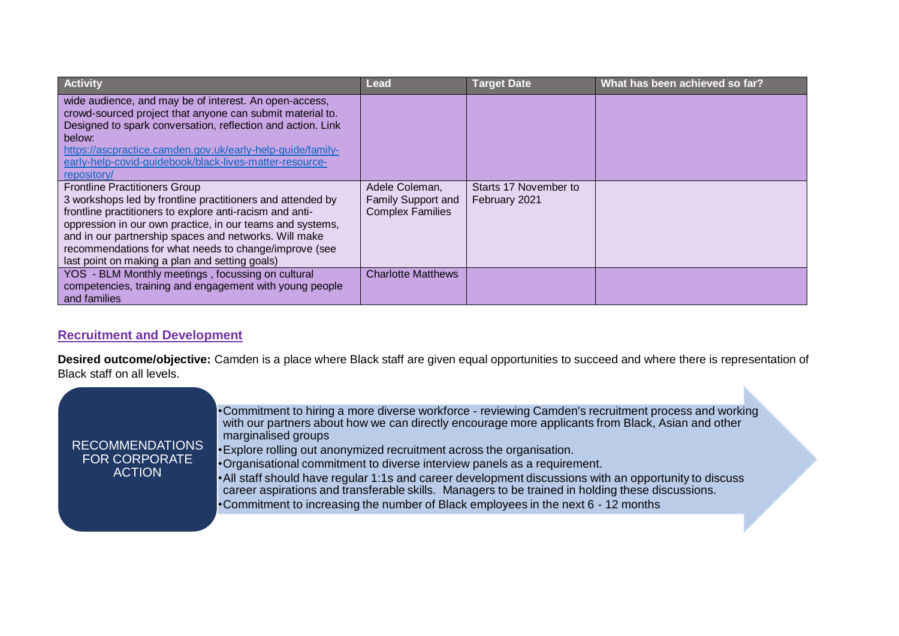| <b>Activity</b>                                                                                                                                                                                                                                                                                                                                                                                 | <b>Lead</b>                                                     | <b>Target Date</b>                     | What has been achieved so far? |
|-------------------------------------------------------------------------------------------------------------------------------------------------------------------------------------------------------------------------------------------------------------------------------------------------------------------------------------------------------------------------------------------------|-----------------------------------------------------------------|----------------------------------------|--------------------------------|
| wide audience, and may be of interest. An open-access,<br>crowd-sourced project that anyone can submit material to.<br>Designed to spark conversation, reflection and action. Link<br>below:<br>https://ascpractice.camden.gov.uk/early-help-guide/family-<br>early-help-covid-guidebook/black-lives-matter-resource-<br>repository/                                                            |                                                                 |                                        |                                |
| <b>Frontline Practitioners Group</b><br>3 workshops led by frontline practitioners and attended by<br>frontline practitioners to explore anti-racism and anti-<br>oppression in our own practice, in our teams and systems,<br>and in our partnership spaces and networks. Will make<br>recommendations for what needs to change/improve (see<br>last point on making a plan and setting goals) | Adele Coleman,<br>Family Support and<br><b>Complex Families</b> | Starts 17 November to<br>February 2021 |                                |
| YOS - BLM Monthly meetings, focussing on cultural<br>competencies, training and engagement with young people<br>and families                                                                                                                                                                                                                                                                    | <b>Charlotte Matthews</b>                                       |                                        |                                |

# <span id="page-12-0"></span>**Recruitment and Development**

**Desired outcome/objective:** Camden is a place where Black staff are given equal opportunities to succeed and where there is representation of Black staff on all levels.

| <b>RECOMMENDATIONS</b><br><b>FOR CORPORATE</b><br><b>ACTION</b> | •Commitment to hiring a more diverse workforce - reviewing Camden's recruitment process and working<br>with our partners about how we can directly encourage more applicants from Black, Asian and other<br>marginalised groups<br>. Explore rolling out anonymized recruitment across the organisation.<br>•Organisational commitment to diverse interview panels as a requirement.<br>• All staff should have regular 1:1s and career development discussions with an opportunity to discuss<br>career aspirations and transferable skills. Managers to be trained in holding these discussions. |
|-----------------------------------------------------------------|----------------------------------------------------------------------------------------------------------------------------------------------------------------------------------------------------------------------------------------------------------------------------------------------------------------------------------------------------------------------------------------------------------------------------------------------------------------------------------------------------------------------------------------------------------------------------------------------------|
|                                                                 | •Commitment to increasing the number of Black employees in the next 6 - 12 months                                                                                                                                                                                                                                                                                                                                                                                                                                                                                                                  |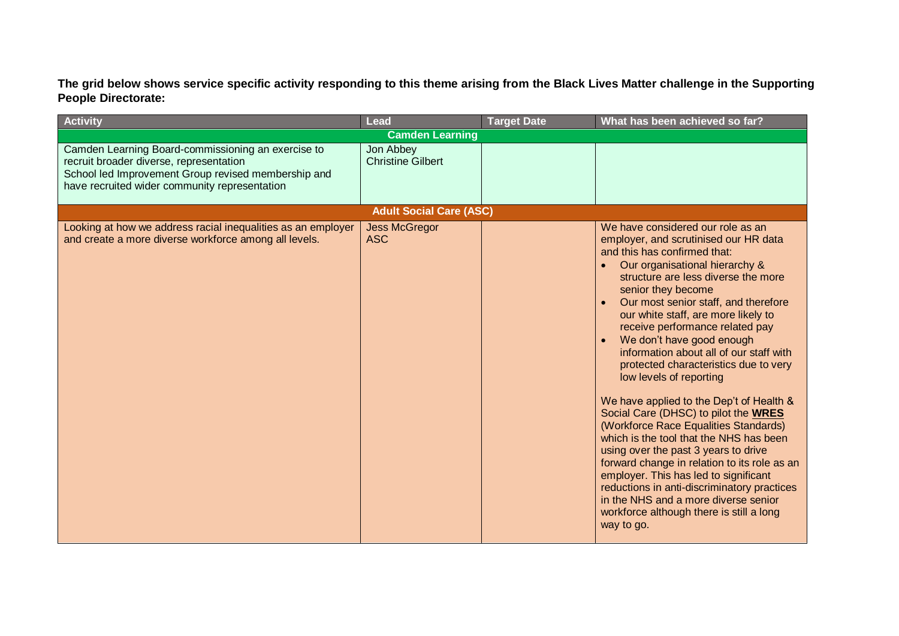| <b>Activity</b>                                                                                                                                                                                       | <b>Lead</b>                           | <b>Target Date</b> | What has been achieved so far?                                                                                                                                                                                                                                                                                                                                                                                                                                                                                                                                                                                                                                                                                                                                                                                                                                                                                                                              |  |  |
|-------------------------------------------------------------------------------------------------------------------------------------------------------------------------------------------------------|---------------------------------------|--------------------|-------------------------------------------------------------------------------------------------------------------------------------------------------------------------------------------------------------------------------------------------------------------------------------------------------------------------------------------------------------------------------------------------------------------------------------------------------------------------------------------------------------------------------------------------------------------------------------------------------------------------------------------------------------------------------------------------------------------------------------------------------------------------------------------------------------------------------------------------------------------------------------------------------------------------------------------------------------|--|--|
| <b>Camden Learning</b>                                                                                                                                                                                |                                       |                    |                                                                                                                                                                                                                                                                                                                                                                                                                                                                                                                                                                                                                                                                                                                                                                                                                                                                                                                                                             |  |  |
| Camden Learning Board-commissioning an exercise to<br>recruit broader diverse, representation<br>School led Improvement Group revised membership and<br>have recruited wider community representation | Jon Abbey<br><b>Christine Gilbert</b> |                    |                                                                                                                                                                                                                                                                                                                                                                                                                                                                                                                                                                                                                                                                                                                                                                                                                                                                                                                                                             |  |  |
|                                                                                                                                                                                                       | <b>Adult Social Care (ASC)</b>        |                    |                                                                                                                                                                                                                                                                                                                                                                                                                                                                                                                                                                                                                                                                                                                                                                                                                                                                                                                                                             |  |  |
| Looking at how we address racial inequalities as an employer<br>and create a more diverse workforce among all levels.                                                                                 | <b>Jess McGregor</b><br><b>ASC</b>    |                    | We have considered our role as an<br>employer, and scrutinised our HR data<br>and this has confirmed that:<br>Our organisational hierarchy &<br>$\bullet$<br>structure are less diverse the more<br>senior they become<br>Our most senior staff, and therefore<br>our white staff, are more likely to<br>receive performance related pay<br>We don't have good enough<br>$\bullet$<br>information about all of our staff with<br>protected characteristics due to very<br>low levels of reporting<br>We have applied to the Dep't of Health &<br>Social Care (DHSC) to pilot the WRES<br>(Workforce Race Equalities Standards)<br>which is the tool that the NHS has been<br>using over the past 3 years to drive<br>forward change in relation to its role as an<br>employer. This has led to significant<br>reductions in anti-discriminatory practices<br>in the NHS and a more diverse senior<br>workforce although there is still a long<br>way to go. |  |  |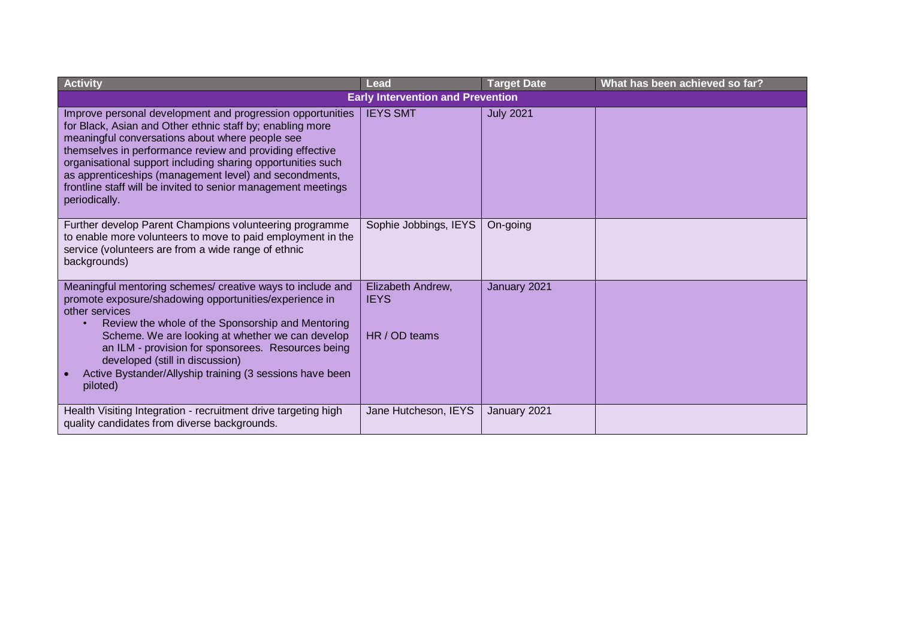| <b>Activity</b>                                                                                                                                                                                                                                                                                                                                                                                                                                   | <b>Lead</b>                                       | <b>Target Date</b> | What has been achieved so far? |
|---------------------------------------------------------------------------------------------------------------------------------------------------------------------------------------------------------------------------------------------------------------------------------------------------------------------------------------------------------------------------------------------------------------------------------------------------|---------------------------------------------------|--------------------|--------------------------------|
|                                                                                                                                                                                                                                                                                                                                                                                                                                                   | <b>Early Intervention and Prevention</b>          |                    |                                |
| Improve personal development and progression opportunities<br>for Black, Asian and Other ethnic staff by; enabling more<br>meaningful conversations about where people see<br>themselves in performance review and providing effective<br>organisational support including sharing opportunities such<br>as apprenticeships (management level) and secondments,<br>frontline staff will be invited to senior management meetings<br>periodically. | <b>IEYS SMT</b>                                   | <b>July 2021</b>   |                                |
| Further develop Parent Champions volunteering programme<br>to enable more volunteers to move to paid employment in the<br>service (volunteers are from a wide range of ethnic<br>backgrounds)                                                                                                                                                                                                                                                     | Sophie Jobbings, IEYS                             | On-going           |                                |
| Meaningful mentoring schemes/ creative ways to include and<br>promote exposure/shadowing opportunities/experience in<br>other services<br>Review the whole of the Sponsorship and Mentoring<br>$\bullet$<br>Scheme. We are looking at whether we can develop<br>an ILM - provision for sponsorees. Resources being<br>developed (still in discussion)<br>Active Bystander/Allyship training (3 sessions have been<br>piloted)                     | Elizabeth Andrew,<br><b>IEYS</b><br>HR / OD teams | January 2021       |                                |
| Health Visiting Integration - recruitment drive targeting high<br>quality candidates from diverse backgrounds.                                                                                                                                                                                                                                                                                                                                    | Jane Hutcheson, IEYS                              | January 2021       |                                |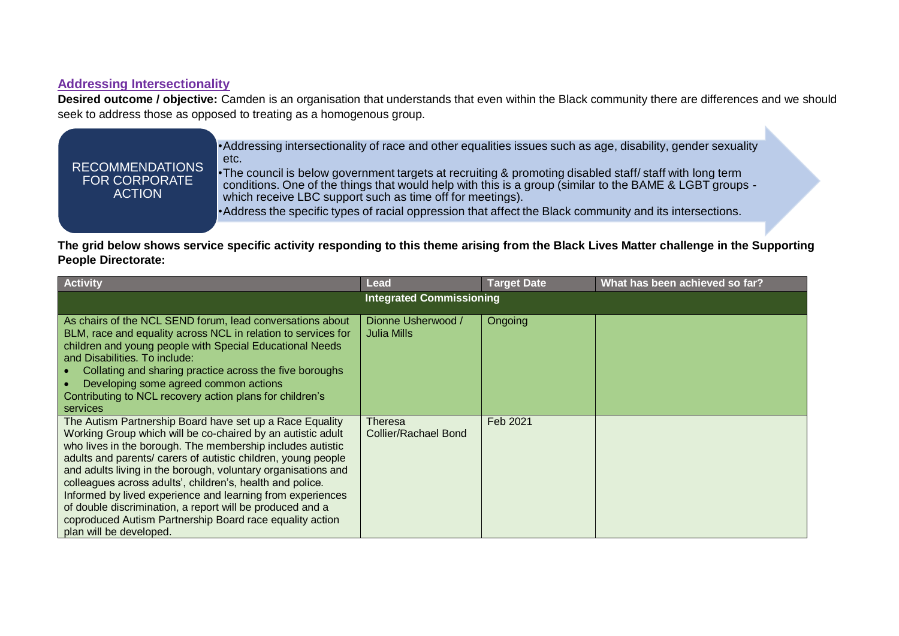#### <span id="page-15-0"></span>**Addressing Intersectionality**

RECOMMENDATIONS FOR CORPORATE ACTION

**Desired outcome / objective:** Camden is an organisation that understands that even within the Black community there are differences and we should seek to address those as opposed to treating as a homogenous group.

> •Addressing intersectionality of race and other equalities issues such as age, disability, gender sexuality etc.

> •The council is below government targets at recruiting & promoting disabled staff/ staff with long term conditions. One of the things that would help with this is a group (similar to the BAME & LGBT groups which receive LBC support such as time off for meetings).

•Address the specific types of racial oppression that affect the Black community and its intersections.

| <b>Activity</b>                                                                                                                                                                                                                                                                                                                                                                                                                                                                                                                                                                                        | Lead                                   | <b>Target Date</b> | What has been achieved so far? |
|--------------------------------------------------------------------------------------------------------------------------------------------------------------------------------------------------------------------------------------------------------------------------------------------------------------------------------------------------------------------------------------------------------------------------------------------------------------------------------------------------------------------------------------------------------------------------------------------------------|----------------------------------------|--------------------|--------------------------------|
|                                                                                                                                                                                                                                                                                                                                                                                                                                                                                                                                                                                                        | <b>Integrated Commissioning</b>        |                    |                                |
| As chairs of the NCL SEND forum, lead conversations about<br>BLM, race and equality across NCL in relation to services for<br>children and young people with Special Educational Needs<br>and Disabilities. To include:<br>Collating and sharing practice across the five boroughs<br>Developing some agreed common actions<br>$\bullet$<br>Contributing to NCL recovery action plans for children's<br>services                                                                                                                                                                                       | Dionne Usherwood /<br>Julia Mills      | Ongoing            |                                |
| The Autism Partnership Board have set up a Race Equality<br>Working Group which will be co-chaired by an autistic adult<br>who lives in the borough. The membership includes autistic<br>adults and parents/ carers of autistic children, young people<br>and adults living in the borough, voluntary organisations and<br>colleagues across adults', children's, health and police.<br>Informed by lived experience and learning from experiences<br>of double discrimination, a report will be produced and a<br>coproduced Autism Partnership Board race equality action<br>plan will be developed. | Theresa<br><b>Collier/Rachael Bond</b> | Feb 2021           |                                |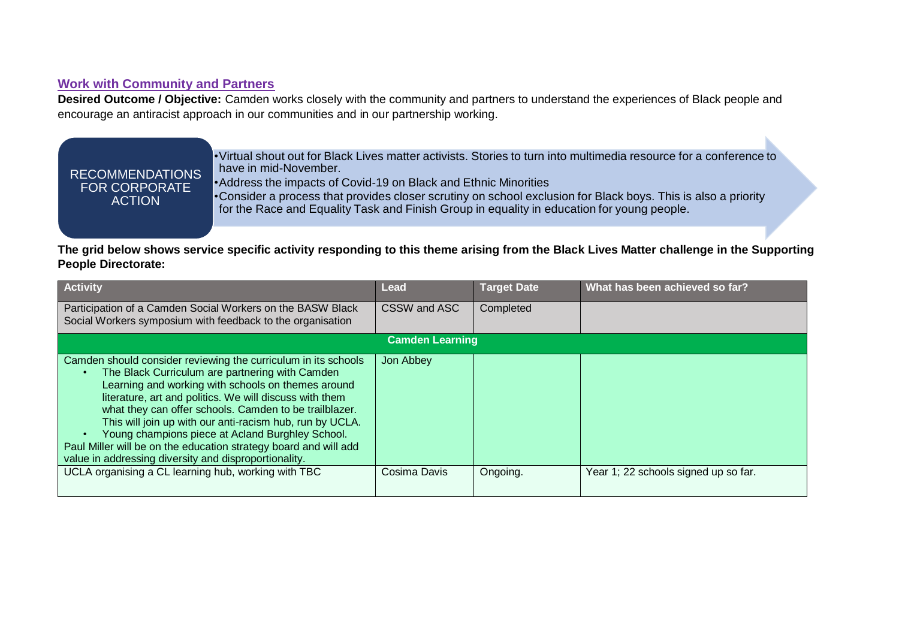## <span id="page-16-0"></span>**Work with Community and Partners**

**Desired Outcome / Objective:** Camden works closely with the community and partners to understand the experiences of Black people and encourage an antiracist approach in our communities and in our partnership working.

## RECOMMENDATIONS FOR CORPORATE **ACTION**

•Virtual shout out for Black Lives matter activists. Stories to turn into multimedia resource for a conference to have in mid-November.

•Address the impacts of Covid-19 on Black and Ethnic Minorities

•Consider a process that provides closer scrutiny on school exclusion for Black boys. This is also a priority for the Race and Equality Task and Finish Group in equality in education for young people.

| <b>Activity</b>                                                                                                                                                                                                                                                                                                                                                                                                                                                                                                                           | <b>Lead</b>            | <b>Target Date</b> | What has been achieved so far?       |
|-------------------------------------------------------------------------------------------------------------------------------------------------------------------------------------------------------------------------------------------------------------------------------------------------------------------------------------------------------------------------------------------------------------------------------------------------------------------------------------------------------------------------------------------|------------------------|--------------------|--------------------------------------|
| Participation of a Camden Social Workers on the BASW Black<br>Social Workers symposium with feedback to the organisation                                                                                                                                                                                                                                                                                                                                                                                                                  | CSSW and ASC           | Completed          |                                      |
|                                                                                                                                                                                                                                                                                                                                                                                                                                                                                                                                           | <b>Camden Learning</b> |                    |                                      |
| Camden should consider reviewing the curriculum in its schools<br>The Black Curriculum are partnering with Camden<br>Learning and working with schools on themes around<br>literature, art and politics. We will discuss with them<br>what they can offer schools. Camden to be trailblazer.<br>This will join up with our anti-racism hub, run by UCLA.<br>Young champions piece at Acland Burghley School.<br>Paul Miller will be on the education strategy board and will add<br>value in addressing diversity and disproportionality. | Jon Abbey              |                    |                                      |
| UCLA organising a CL learning hub, working with TBC                                                                                                                                                                                                                                                                                                                                                                                                                                                                                       | Cosima Davis           | Ongoing.           | Year 1; 22 schools signed up so far. |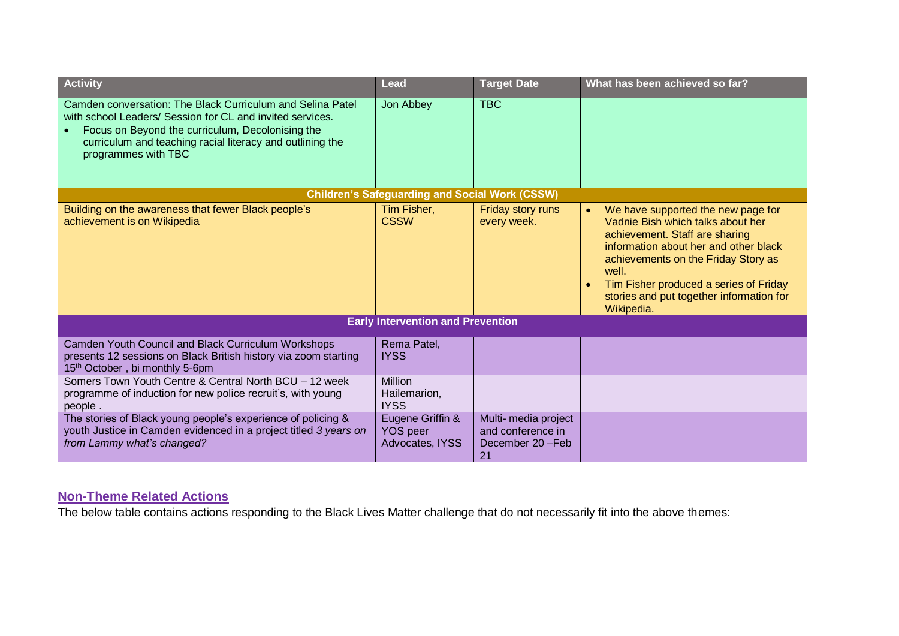| <b>Activity</b>                                                                                                                                                                                                                                                 | Lead                                                   | <b>Target Date</b>                                                 | What has been achieved so far?                                                                                                                                                                                                                                                                         |
|-----------------------------------------------------------------------------------------------------------------------------------------------------------------------------------------------------------------------------------------------------------------|--------------------------------------------------------|--------------------------------------------------------------------|--------------------------------------------------------------------------------------------------------------------------------------------------------------------------------------------------------------------------------------------------------------------------------------------------------|
| Camden conversation: The Black Curriculum and Selina Patel<br>with school Leaders/ Session for CL and invited services.<br>Focus on Beyond the curriculum, Decolonising the<br>curriculum and teaching racial literacy and outlining the<br>programmes with TBC | Jon Abbey                                              | <b>TBC</b>                                                         |                                                                                                                                                                                                                                                                                                        |
|                                                                                                                                                                                                                                                                 | <b>Children's Safeguarding and Social Work (CSSW)</b>  |                                                                    |                                                                                                                                                                                                                                                                                                        |
| Building on the awareness that fewer Black people's<br>achievement is on Wikipedia                                                                                                                                                                              | Tim Fisher,<br><b>CSSW</b>                             | Friday story runs<br>every week.                                   | We have supported the new page for<br>Vadnie Bish which talks about her<br>achievement. Staff are sharing<br>information about her and other black<br>achievements on the Friday Story as<br>well.<br>Tim Fisher produced a series of Friday<br>stories and put together information for<br>Wikipedia. |
|                                                                                                                                                                                                                                                                 | <b>Early Intervention and Prevention</b>               |                                                                    |                                                                                                                                                                                                                                                                                                        |
| Camden Youth Council and Black Curriculum Workshops<br>presents 12 sessions on Black British history via zoom starting<br>15th October, bi monthly 5-6pm                                                                                                        | Rema Patel,<br><b>IYSS</b>                             |                                                                    |                                                                                                                                                                                                                                                                                                        |
| Somers Town Youth Centre & Central North BCU - 12 week<br>programme of induction for new police recruit's, with young<br>people.                                                                                                                                | <b>Million</b><br>Hailemarion,<br><b>IYSS</b>          |                                                                    |                                                                                                                                                                                                                                                                                                        |
| The stories of Black young people's experience of policing &<br>youth Justice in Camden evidenced in a project titled 3 years on<br>from Lammy what's changed?                                                                                                  | Eugene Griffin &<br><b>YOS</b> peer<br>Advocates, IYSS | Multi- media project<br>and conference in<br>December 20-Feb<br>21 |                                                                                                                                                                                                                                                                                                        |

#### <span id="page-17-0"></span>**Non-Theme Related Actions**

The below table contains actions responding to the Black Lives Matter challenge that do not necessarily fit into the above themes: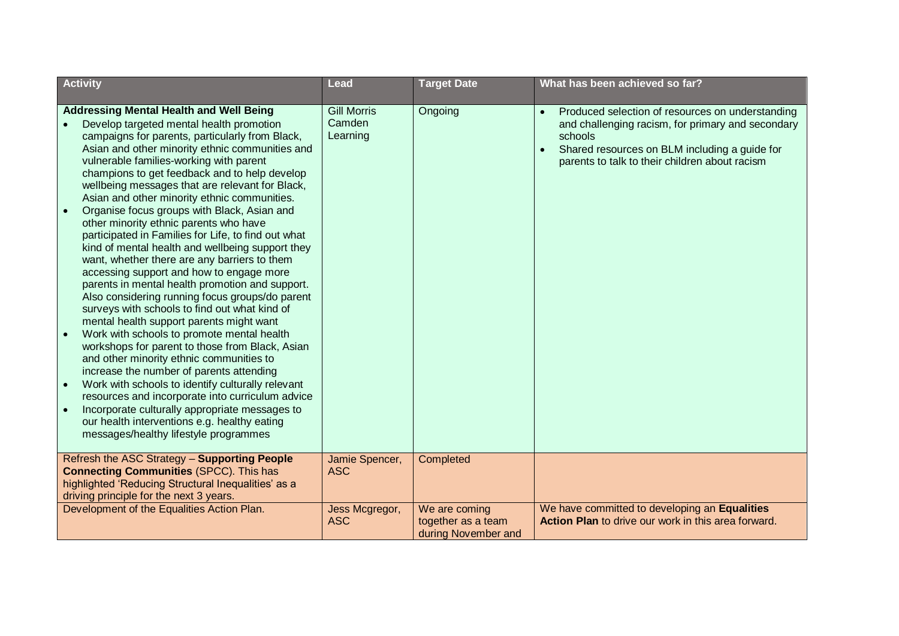| <b>Activity</b>                                                                                                                                                                                                                                                                                                                                                                                                                                                                                                                                                                                                                                                                                                                                                                                                                                                                                                                                                                                                                                                                                                                                                                                                                                                                                                                                 | <b>Lead</b>                              | <b>Target Date</b>                                         | What has been achieved so far?                                                                                                                                                                                                   |
|-------------------------------------------------------------------------------------------------------------------------------------------------------------------------------------------------------------------------------------------------------------------------------------------------------------------------------------------------------------------------------------------------------------------------------------------------------------------------------------------------------------------------------------------------------------------------------------------------------------------------------------------------------------------------------------------------------------------------------------------------------------------------------------------------------------------------------------------------------------------------------------------------------------------------------------------------------------------------------------------------------------------------------------------------------------------------------------------------------------------------------------------------------------------------------------------------------------------------------------------------------------------------------------------------------------------------------------------------|------------------------------------------|------------------------------------------------------------|----------------------------------------------------------------------------------------------------------------------------------------------------------------------------------------------------------------------------------|
| <b>Addressing Mental Health and Well Being</b><br>Develop targeted mental health promotion<br>campaigns for parents, particularly from Black,<br>Asian and other minority ethnic communities and<br>vulnerable families-working with parent<br>champions to get feedback and to help develop<br>wellbeing messages that are relevant for Black,<br>Asian and other minority ethnic communities.<br>Organise focus groups with Black, Asian and<br>other minority ethnic parents who have<br>participated in Families for Life, to find out what<br>kind of mental health and wellbeing support they<br>want, whether there are any barriers to them<br>accessing support and how to engage more<br>parents in mental health promotion and support.<br>Also considering running focus groups/do parent<br>surveys with schools to find out what kind of<br>mental health support parents might want<br>Work with schools to promote mental health<br>workshops for parent to those from Black, Asian<br>and other minority ethnic communities to<br>increase the number of parents attending<br>Work with schools to identify culturally relevant<br>resources and incorporate into curriculum advice<br>Incorporate culturally appropriate messages to<br>our health interventions e.g. healthy eating<br>messages/healthy lifestyle programmes | <b>Gill Morris</b><br>Camden<br>Learning | Ongoing                                                    | Produced selection of resources on understanding<br>$\bullet$<br>and challenging racism, for primary and secondary<br>schools<br>Shared resources on BLM including a guide for<br>parents to talk to their children about racism |
| Refresh the ASC Strategy - Supporting People<br><b>Connecting Communities (SPCC). This has</b><br>highlighted 'Reducing Structural Inequalities' as a<br>driving principle for the next 3 years.                                                                                                                                                                                                                                                                                                                                                                                                                                                                                                                                                                                                                                                                                                                                                                                                                                                                                                                                                                                                                                                                                                                                                | Jamie Spencer,<br><b>ASC</b>             | Completed                                                  |                                                                                                                                                                                                                                  |
| Development of the Equalities Action Plan.                                                                                                                                                                                                                                                                                                                                                                                                                                                                                                                                                                                                                                                                                                                                                                                                                                                                                                                                                                                                                                                                                                                                                                                                                                                                                                      | Jess Mcgregor,<br><b>ASC</b>             | We are coming<br>together as a team<br>during November and | We have committed to developing an Equalities<br>Action Plan to drive our work in this area forward.                                                                                                                             |